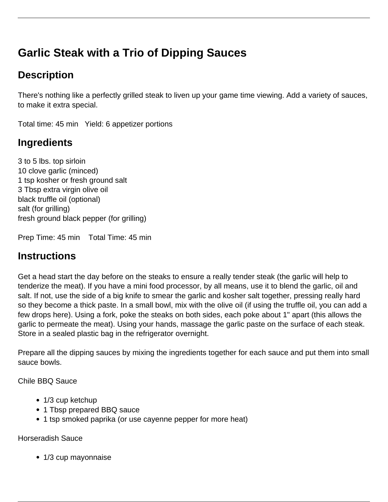# **Garlic Steak with a Trio of Dipping Sauces**

# **Description**

There's nothing like a perfectly grilled steak to liven up your game time viewing. Add a variety of sauces, to make it extra special.

Total time: 45 min Yield: 6 appetizer portions

## **Ingredients**

3 to 5 lbs. top sirloin 10 clove garlic (minced) 1 tsp kosher or fresh ground salt 3 Tbsp extra virgin olive oil black truffle oil (optional) salt (for grilling) fresh ground black pepper (for grilling)

Prep Time: 45 min Total Time: 45 min

### **Instructions**

Get a head start the day before on the steaks to ensure a really tender steak (the garlic will help to tenderize the meat). If you have a mini food processor, by all means, use it to blend the garlic, oil and salt. If not, use the side of a big knife to smear the garlic and kosher salt together, pressing really hard so they become a thick paste. In a small bowl, mix with the olive oil (if using the truffle oil, you can add a few drops here). Using a fork, poke the steaks on both sides, each poke about 1" apart (this allows the garlic to permeate the meat). Using your hands, massage the garlic paste on the surface of each steak. Store in a sealed plastic bag in the refrigerator overnight.

Prepare all the dipping sauces by mixing the ingredients together for each sauce and put them into small sauce bowls.

Chile BBQ Sauce

- 1/3 cup ketchup
- 1 Tbsp prepared BBQ sauce
- 1 tsp smoked paprika (or use cayenne pepper for more heat)

Horseradish Sauce

• 1/3 cup mayonnaise